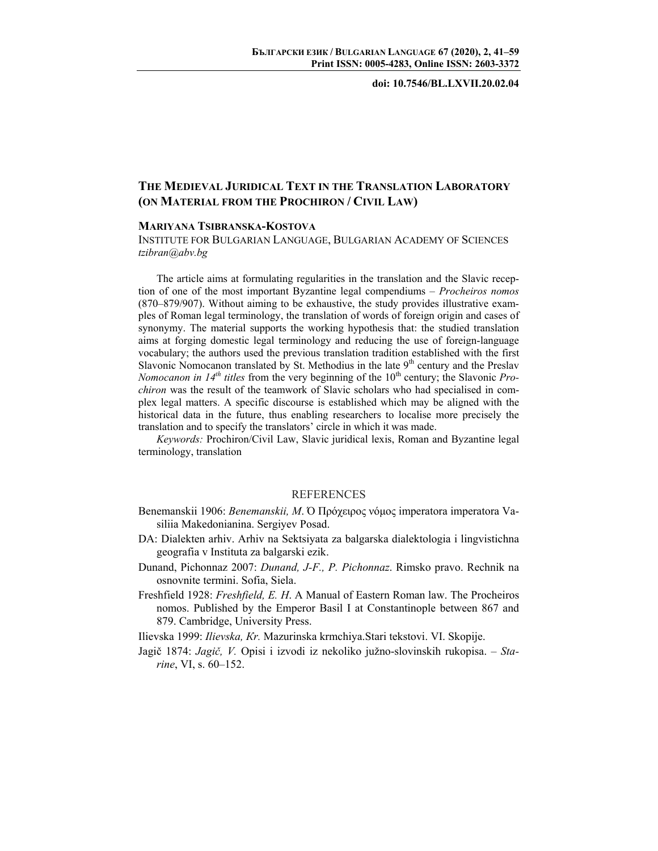**doi: 10.7546/BL.LXVII.20.02.04** 

## **THE MEDIEVAL JURIDICAL TEXT IN THE TRANSLATION LABORATORY (ON MATERIAL FROM THE PROCHIRON / CIVIL LAW)**

## **MARIYANA TSIBRANSKA-KOSTOVA**

INSTITUTE FOR BULGARIAN LANGUAGE, BULGARIAN ACADEMY OF SCIENCES *tzibran@abv.bg* 

The article aims at formulating regularities in the translation and the Slavic reception of one of the most important Byzantine legal compendiums – *Procheiros nomos* (870–879/907). Without aiming to be exhaustive, the study provides illustrative examples of Roman legal terminology, the translation of words of foreign origin and cases of synonymy. The material supports the working hypothesis that: the studied translation aims at forging domestic legal terminology and reducing the use of foreign-language vocabulary; the authors used the previous translation tradition established with the first Slavonic Nomocanon translated by St. Methodius in the late  $9<sup>th</sup>$  century and the Preslav *Nomocanon in 14<sup>th</sup> titles* from the very beginning of the 10<sup>th</sup> century; the Slavonic *Prochiron* was the result of the teamwork of Slavic scholars who had specialised in complex legal matters. A specific discourse is established which may be aligned with the historical data in the future, thus enabling researchers to localise more precisely the translation and to specify the translators' circle in which it was made.

*Keywords:* Prochiron/Civil Law, Slavic juridical lexis, Roman and Byzantine legal terminology, translation

## **REFERENCES**

- Benemanskii 1906: *Benemanskii, M*. Ό Πρόχειρος νόμος imperatora imperatora Vasiliia Makedonianina. Sergiyev Posad.
- DA: Dialekten arhiv. Arhiv na Sektsiyata za balgarska dialektologia i lingvistichna geografia v Instituta za balgarski ezik.
- Dunand, Pichonnaz 2007: *Dunand, J-F., P. Pichonnaz*. Rimsko pravo. Rechnik na osnovnite termini. Sofia, Siela.
- Freshfield 1928: *Freshfield, E. H*. A Manual of Eastern Roman law. The Procheiros nomos. Published by the Emperor Basil I at Constantinople between 867 and 879. Cambridge, University Press.

Ilievska 1999: *Ilievska, Кr.* Mazurinska krmchiya.Stari tekstovi. VI. Skopije.

Jagič 1874: *Jagič, V.* Opisi i izvodi iz nekoliko južno-slovinskih rukopisa. – *Starine*, VI, s. 60–152.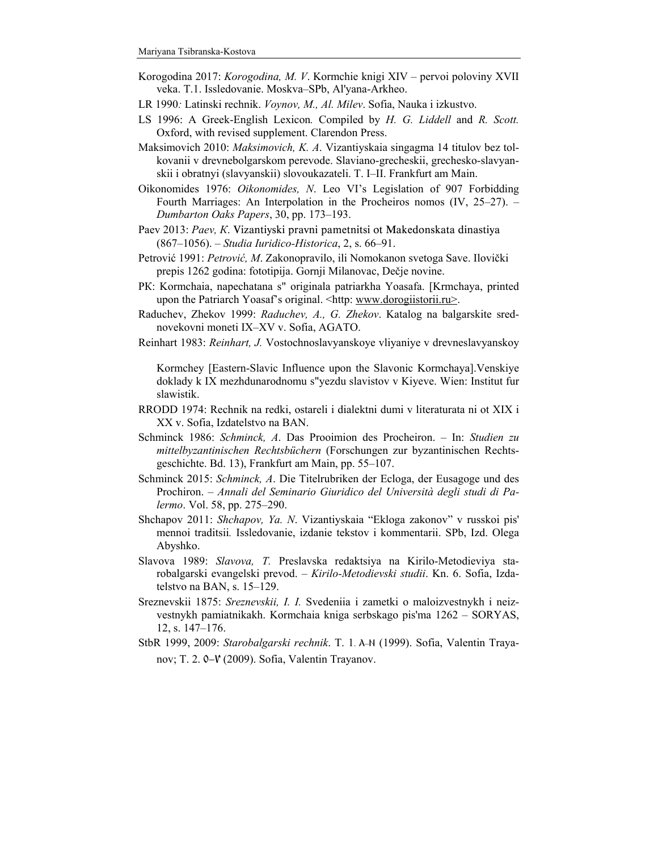- Korogodina 2017: *Korogodina, M. V*. Kormchie knigi XIV pervoi poloviny XVII veka. T.1. Issledovanie. Moskva–SPb, Al'yana-Arkheo.
- LR 1990*:* Latinski rechnik. *Voynov, M., Al. Milev*. Sofia, Nauka i izkustvo.
- LS 1996: A Greek-English Lexicon*.* Compiled by *H. G. Liddell* and *R. Scott.* Oxford, with revised supplement. Clarendon Press.
- Maksimovich 2010: *Maksimovich, K. A*. Vizantiyskaia singagma 14 titulov bez tolkovanii v drevnebolgarskom perevode. Slaviano-grecheskii, grechesko-slavyanskii i obratnyi (slavyanskii) slovoukazateli. Т. І–ІІ. Frankfurt am Main.
- Oikonomides 1976: *Oikonomides, N*. Leo VI's Legislation of 907 Forbidding Fourth Marriages: An Interpolation in the Procheiros nomos (IV, 25–27). – *Dumbarton Oaks Papers*, 30, pp. 173–193.
- Paev 2013: *Paev, К*. Vizantiyski pravni pametnitsi ot Makedonskata dinastiya (867–1056). – *Studia Iuridico-Historica*, 2, s. 66–91.
- Petrović 1991: *Petrović, M*. Zakonopravilo, ili Nomokanon svetoga Save. Ilovički prepis 1262 godina: fototipija. Gornji Milanovac, Dečje novine.
- PК: Kormchaia, napechatana s" originala patriarkha Yoasafa. [Krmchaya, printed upon the Patriarch Yoasaf's original. <http: www.dorogiistorii.ru>.
- Raduchev, Zhekov 1999: *Raduchev, A., G. Zhekov*. Katalog na balgarskite srednovekovni moneti IX–XV v. Sofia, AGATO.
- Reinhart 1983: *Rеinhart, J.* Vostochnoslavyanskoye vliyaniye v drevneslavyanskoy

Kormchey [Eastern-Slavic Influence upon the Slavonic Kormchaya].Venskiye doklady k IX mezhdunarodnomu s"yezdu slavistov v Kiyeve. Wien: Institut fur slawistik.

- RRODD 1974: Rechnik na redki, ostareli i dialektni dumi v literaturata ni ot XIX i XX v. Sofia, Izdatelstvo na BAN.
- Schminck 1986: *Schminck, A*. Das Prooimion des Procheiron. In: *Studien zu mittelbyzantinischen Rechtsbüchern* (Forschungen zur byzantinischen Rechtsgeschichte. Bd. 13), Frankfurt am Main, pp. 55–107.
- Schminck 2015: *Schminck, A*. Die Titelrubriken der Ecloga, der Eusagoge und des Prochiron. – *Annali del Seminario Giuridico del Università degli studi di Palermo*. Vol. 58, pp. 275–290.
- Shchapov 2011: *Shchapov, Ya. N*. Vizantiyskaia "Ekloga zakonov" v russkoi pis' mennoi traditsii*.* Issledovanie, izdanie tekstov i kommentarii. SPb, Izd. Olega Abyshko.
- Slavova 1989: *Slavova, T.* Preslavska redaktsiya na Kirilo-Metodieviya starobalgarski evangelski prevod. – *Kirilo-Metodievski studii*. Kn. 6. Sofia, Izdatelstvo na BAN, s. 15–129.
- Sreznevskii 1875: *Sreznevskii, I. I.* Svedeniia i zametki o maloizvestnykh i neizvestnykh pamiatnikakh. Kormchaia kniga serbskago pis'ma 1262 – SORYAS, 12, s. 147–176.
- StbR 1999, 2009: *Starobalgarski rechnik*. Т. 1. А–N (1999). Sofia, Valentin Trayanov; Τ. 2. 0- $V$  (2009). Sofia, Valentin Trayanov.